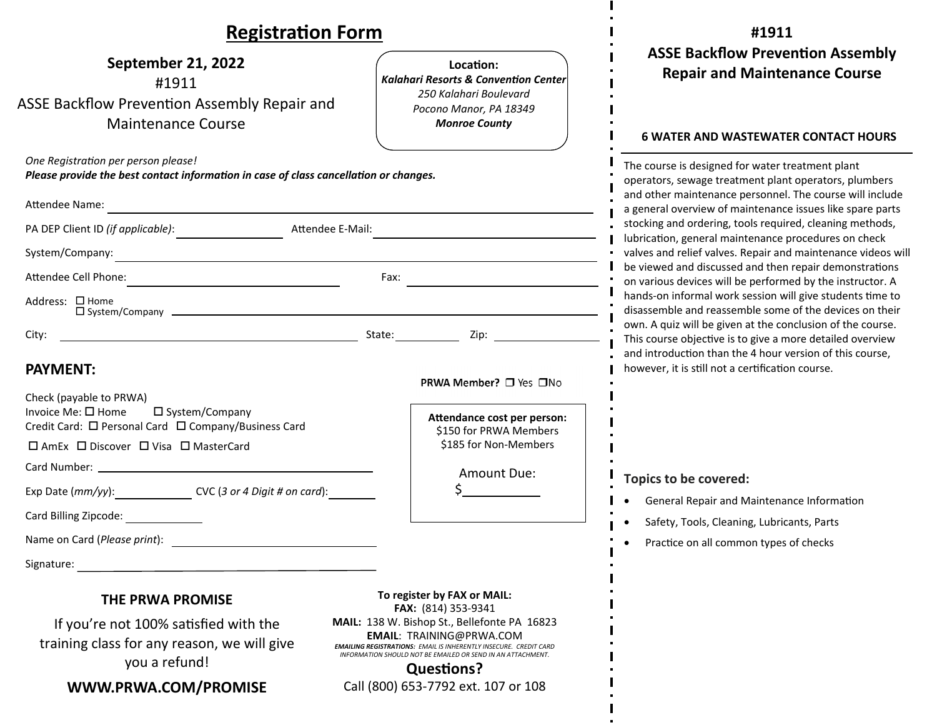## **RegistraƟon Form**

| <b>Registration Form</b>                                                                                                                       |                                                                                                                                                                                                                                                 | #1911                                                                                                                                                                                                                                                                                                                                                                                                                                                                                                                                                                                                                                                                 |  |
|------------------------------------------------------------------------------------------------------------------------------------------------|-------------------------------------------------------------------------------------------------------------------------------------------------------------------------------------------------------------------------------------------------|-----------------------------------------------------------------------------------------------------------------------------------------------------------------------------------------------------------------------------------------------------------------------------------------------------------------------------------------------------------------------------------------------------------------------------------------------------------------------------------------------------------------------------------------------------------------------------------------------------------------------------------------------------------------------|--|
| September 21, 2022<br>#1911<br><b>ASSE Backflow Prevention Assembly Repair and</b><br><b>Maintenance Course</b>                                | Location:<br><b>Kalahari Resorts &amp; Convention Center</b><br>250 Kalahari Boulevard<br>Pocono Manor, PA 18349<br><b>Monroe County</b>                                                                                                        | <b>ASSE Backflow Prevention Assembly</b><br><b>Repair and Maintenance Course</b><br><b>6 WATER AND WASTEWATER CONTACT HOURS</b>                                                                                                                                                                                                                                                                                                                                                                                                                                                                                                                                       |  |
| One Registration per person please!<br>Please provide the best contact information in case of class cancellation or changes.<br>Attendee Name: |                                                                                                                                                                                                                                                 | The course is designed for water treatment plant<br>operators, sewage treatment plant operators, plumbers<br>and other maintenance personnel. The course will include<br>a general overview of maintenance issues like spare parts<br>stocking and ordering, tools required, cleaning methods,<br>lubrication, general maintenance procedures on check<br>valves and relief valves. Repair and maintenance videos will<br>be viewed and discussed and then repair demonstrations<br>on various devices will be performed by the instructor. A<br>hands-on informal work session will give students time to<br>disassemble and reassemble some of the devices on their |  |
| PA DEP Client ID (if applicable):<br>Attendee E-Mail:                                                                                          |                                                                                                                                                                                                                                                 |                                                                                                                                                                                                                                                                                                                                                                                                                                                                                                                                                                                                                                                                       |  |
| System/Company:<br><u> 1980 - Jan Samuel Barbara, poeta estadounidense en la contrada de la contrada de la contrada de la contrada d</u>       |                                                                                                                                                                                                                                                 |                                                                                                                                                                                                                                                                                                                                                                                                                                                                                                                                                                                                                                                                       |  |
| Fax: $\qquad \qquad \qquad$                                                                                                                    |                                                                                                                                                                                                                                                 |                                                                                                                                                                                                                                                                                                                                                                                                                                                                                                                                                                                                                                                                       |  |
| Address: □ Home                                                                                                                                |                                                                                                                                                                                                                                                 |                                                                                                                                                                                                                                                                                                                                                                                                                                                                                                                                                                                                                                                                       |  |
| City:                                                                                                                                          | Zip: the contract of the contract of the contract of the contract of the contract of the contract of the contract of the contract of the contract of the contract of the contract of the contract of the contract of the contr                  | own. A quiz will be given at the conclusion of the course.<br>This course objective is to give a more detailed overview                                                                                                                                                                                                                                                                                                                                                                                                                                                                                                                                               |  |
| <b>PAYMENT:</b><br>Check (payable to PRWA)<br>Invoice Me: □ Home<br>□ System/Company                                                           | PRWA Member? □ Yes □No<br>Attendance cost per person:                                                                                                                                                                                           | and introduction than the 4 hour version of this course,<br>however, it is still not a certification course.                                                                                                                                                                                                                                                                                                                                                                                                                                                                                                                                                          |  |
| Credit Card: □ Personal Card □ Company/Business Card                                                                                           | \$150 for PRWA Members                                                                                                                                                                                                                          |                                                                                                                                                                                                                                                                                                                                                                                                                                                                                                                                                                                                                                                                       |  |
| □ AmEx □ Discover □ Visa □ MasterCard                                                                                                          | \$185 for Non-Members                                                                                                                                                                                                                           |                                                                                                                                                                                                                                                                                                                                                                                                                                                                                                                                                                                                                                                                       |  |
|                                                                                                                                                | Amount Due:                                                                                                                                                                                                                                     | Topics to be covered:                                                                                                                                                                                                                                                                                                                                                                                                                                                                                                                                                                                                                                                 |  |
| Exp Date (mm/yy): CVC (3 or 4 Digit # on card):                                                                                                |                                                                                                                                                                                                                                                 | General Repair and Maintenance Information                                                                                                                                                                                                                                                                                                                                                                                                                                                                                                                                                                                                                            |  |
| Card Billing Zipcode:                                                                                                                          |                                                                                                                                                                                                                                                 | Safety, Tools, Cleaning, Lubricants, Parts                                                                                                                                                                                                                                                                                                                                                                                                                                                                                                                                                                                                                            |  |
|                                                                                                                                                |                                                                                                                                                                                                                                                 | Practice on all common types of checks                                                                                                                                                                                                                                                                                                                                                                                                                                                                                                                                                                                                                                |  |
| Signature:                                                                                                                                     |                                                                                                                                                                                                                                                 |                                                                                                                                                                                                                                                                                                                                                                                                                                                                                                                                                                                                                                                                       |  |
| <b>THE PRWA PROMISE</b>                                                                                                                        | To register by FAX or MAIL:<br>FAX: (814) 353-9341                                                                                                                                                                                              |                                                                                                                                                                                                                                                                                                                                                                                                                                                                                                                                                                                                                                                                       |  |
| If you're not 100% satisfied with the<br>training class for any reason, we will give<br>you a refund!                                          | MAIL: 138 W. Bishop St., Bellefonte PA 16823<br><b>EMAIL: TRAINING@PRWA.COM</b><br><b>EMAILING REGISTRATIONS: EMAIL IS INHERENTLY INSECURE. CREDIT CARD</b><br>INFORMATION SHOULD NOT BE EMAILED OR SEND IN AN ATTACHMENT.<br><b>Questions?</b> |                                                                                                                                                                                                                                                                                                                                                                                                                                                                                                                                                                                                                                                                       |  |
| WWW.PRWA.COM/PROMISE                                                                                                                           | Call (800) 653-7792 ext. 107 or 108                                                                                                                                                                                                             |                                                                                                                                                                                                                                                                                                                                                                                                                                                                                                                                                                                                                                                                       |  |

L,  $\bullet$  $\blacksquare$ 

 $\mathbf{I}$